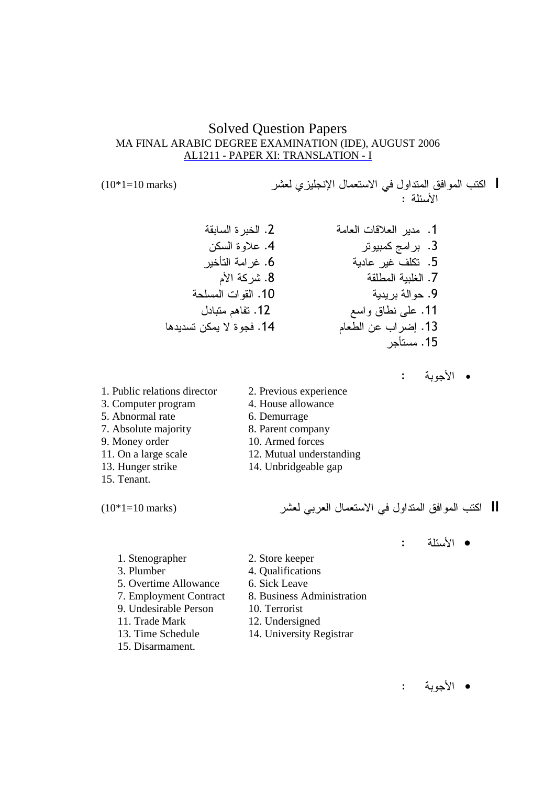# **Solved Question Papers** MA FINAL ARABIC DEGREE EXAMINATION (IDE), AUGUST 2006 AL1211 - PAPER XI: TRANSLATION - I

| اكتب الموافق المتداول في الاستعمال الإنجليزي لعشر  $\cdot$   $75.51$ 

- 2. الخبر ة السابقة 1. مدبر العلاقات العامة 4. علاوة السكن 3. برامج كمبيوتر 6. غرامة التأخير 5. تكلف غير عادية 8. شركة الأم 7. الغلبية المطلقة 10. القوات المسلحة 9. حو الة بر يدية 12. تفاهم متبادل 11. علي نطاق واسع 13. إضراب عن الطعام 14. فحوة لا يمكن تسديدها 15. مستأحر
- 1. Public relations director 3. Computer program 5. Abnormal rate 7. Absolute majority 9. Money order 11. On a large scale 13. Hunger strike 15. Tenant.

 $(10*1=10 \text{ marks})$ 

 $(10*1=10 \text{ marks})$ 

- الأجوبة :
- 2. Previous experience 4. House allowance
	-
	- 6. Demurrage
	- 8. Parent company
	- 10. Armed forces
	- 12. Mutual understanding
	- 14. Unbridgeable gap

|| اكتب الموافق المتداول في الاستعمال العربي لعشر

 $\mathbf{L}$ • الأسئلة

- 1. Stenographer 2. Store keeper 3. Plumber 4. Qualifications 5. Overtime Allowance 6. Sick Leave 7. Employment Contract 8. Business Administration 9. Undesirable Person 10. Terrorist 11. Trade Mark 12. Undersigned 13. Time Schedule 14. University Registrar 15. Disarmament.
- الأجوبة :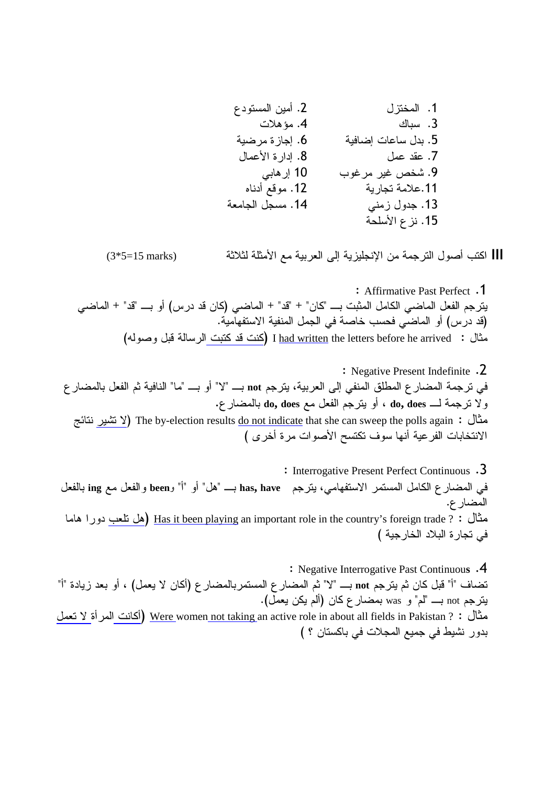||| اكتب أصول الترجمة من الإنجليزية إلى العربية مع الأمثلة لثلاثة  $(3*5=15 \text{ marks})$ 

: Affirmative Past Perfect .1 يترجم الفعل الماضـي الكامل المثبت بـــ "كان" + "قد" + الماضـي (كان قد در س) أو بـــ "قد" + الماضـي (قد درس) أو الماضي فحسب خاصة في الجمل المنفية الاستفهامية. مثال: I <u>had written</u> the letters before he arrived (كنت قد كتبت الرسالة قبل وصوله)

: Negative Present Indefinite .2 في ترجمة المضار ع المطلق المنفي إلى العربية، يترجم not بــــ "لا" أو بــــ "ما" النافية ثم الفعل بالمضار ع ولا نرجمة لــــ do, does ، أو يترجم الفعل مع do, does بالمضارع. مثال : The by-election results <u>do not indicate</u> that she can sweep the polls again (لا تشير نتائج الانتخابات الفرعية أنها سوف تكتسح الأصوات مرة أخرى )

: Interrogative Present Perfect Continuous .3 في المضارع الكامل المستمر الاستفهامي، يترجم has, have بـــ "هل" أو "أ" و been والفعل مع ing بالفعل المضار ع. مثال : ? <u>Has it been playin</u>g an important role in the country's foreign trade (هل نلعب دورا هاما في تجارة البلاد الخارجية )

: Negative Interrogative Past Continuous .4 تضاف "أ" قبل كان ثم يترجم not بـــ "لا" ثم المضار ع المستمربالمضار ع (أكان لا يعمل) ، أو بعد زيادة "أ" ينرجم not بــــ "لم" و was بمضارع كان (ألم يكن يعمل). مثال : ? <u>Were women not taking </u>an active role in about all fields in Pakistan (أكانت المرأة لا تعمل بدور نشيط في جميع المجلات في باكستان ؟ )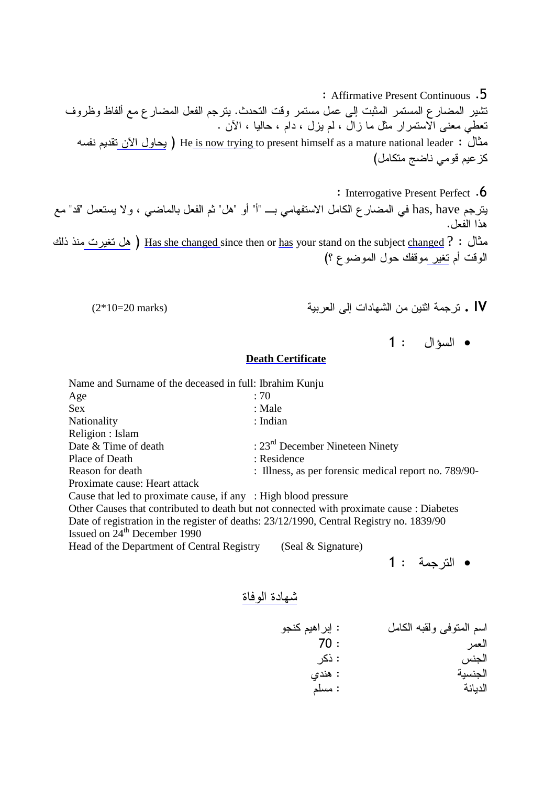: Affirmative Present Continuous .5 نثمير المضارع المستمر المثبت إلى عمل مستمر وقت التحدث. يترجم الفعل المضارع مع ألفاظ وظروف تعطي معنى الاستمرار مثل ما زال ، لم يزل ، دام ، حاليا ، الأن . مثال : He<u> is now trying</u> to present himself as a mature national leader ( يحاول الآن تقديم نفسه كز عيم قومي ناضج متكامل)

: Interrogative Present Perfect .6

يترجم has, have في المضـار ع الكامل الاستفهامي بــــ "أ" أو "هل" ثم الفعل بالماضـي ، و لا يستعمل "قد" مـع هذا الفعل.

مثال : 9 <u>Has she changed s</u>ince then or <u>has</u> your stand on the subject <u>changed (</u> هل تغيرت منذ ذلك الوقت أم تغير موقفك حول الموضوع ؟)

- (2\*10=20 marks) \$
 26 
E- ( (=
 . IV
	-

1 :  •

#### **Death Certificate**

Name and Surname of the deceased in full: Ibrahim Kunju Age  $: 70$ Sex : Male Nationality : Indian Religion : Islam Date & Time of death : 23<sup>rd</sup> December Nineteen Ninety Place of Death : Residence Reason for death : Illness, as per forensic medical report no. 789/90-Proximate cause: Heart attack Cause that led to proximate cause, if any : High blood pressure Other Causes that contributed to death but not connected with proximate cause : Diabetes Date of registration in the register of deaths: 23/12/1990, Central Registry no. 1839/90 Issued on 24<sup>th</sup> December 1990 Head of the Department of Central Registry (Seal & Signature) 1 : 
 •

- 
- شهادة الوفاة

: إبراهيم كنجو اسم المتوفى ولقبه الكامل 70 : : ذكر الجنس : هندي الحنسبة الديانة المسلم: مسلم: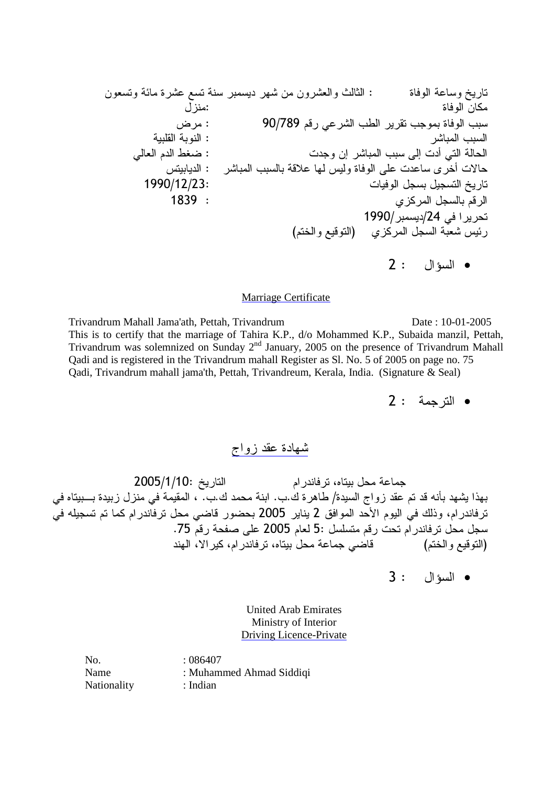( %-) 1 \$ E- ( (- K=
 : %
 ) O : %
 ( Q : 90/789 /! )- # \$ %
 \$ \$ #
 \$
 : -\$
 \$ 
 /
 -.5 : (6 -\$
 \$ 26 8 
 0 C\$
 : -\$
 \$\$ !") E C %
 2 ) ) H&8 0 1990/12/23: 
 \$ O 1839 : 
 \$ /! 1990/\$/24 
0 ( /&
 1!
) 
 \$- C 2 :  •

#### Marriage Certificate

Trivandrum Mahall Jama'ath, Pettah, Trivandrum Date : 10-01-2005 This is to certify that the marriage of Tahira K.P., d/o Mohammed K.P., Subaida manzil, Pettah, Trivandrum was solemnized on Sunday 2<sup>nd</sup> January, 2005 on the presence of Trivandrum Mahall Qadi and is registered in the Trivandrum mahall Register as Sl. No. 5 of 2005 on page no. 75 Qadi, Trivandrum mahall jama'th, Pettah, Trivandreum, Kerala, India. (Signature & Seal)

2 : 
 •

 

جماعة محل بيتاه، ترفاندر ام التاريخ :10/1/10/ 2005 بهذا يشهد بأنه قد تم عقد زواج السيدة/ طاهرة ك.ب. ابنة محمد ك.ب. ، المقيمة في منزل زبيدة بـــبيتاه في ترفاندر ام، وذلك في اليوم الأحد الموافق 2 يناير 2005 بحضور قاضي محل ترفاندر ام كما تم تسجيله في سجل محل ترفاندر ام تحت رقم متسلسل :5 لعام 2005 على صفحة رقم 75. قاصی جماعة محل بیتاه، ترفاندرام، کیر الا، الهند (التوقيع والختم)

3 :  •

United Arab Emirates Ministry of Interior Driving Licence-Private

No. : 086407 Name : Muhammed Ahmad Siddiqi Nationality : Indian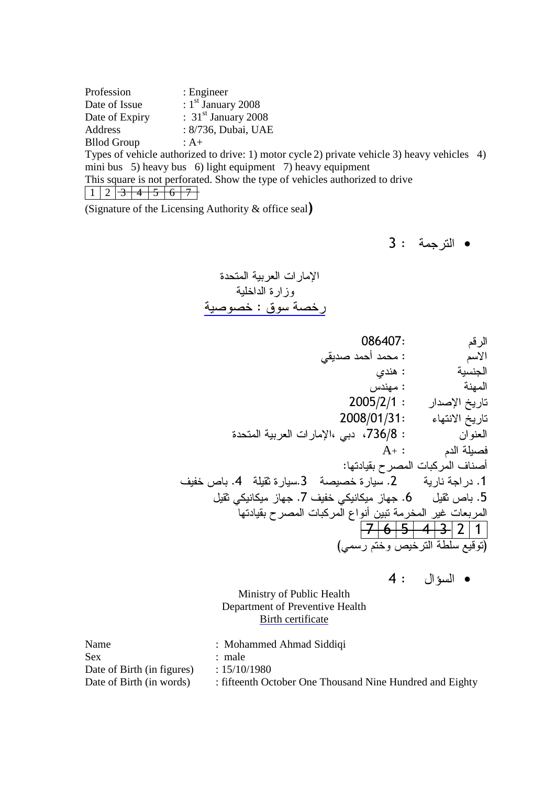Profession : Engineer Date of Issue  $: 1<sup>st</sup>$  January 2008 Date of Expiry  $\qquad$  : 31<sup>st</sup> January 2008 Address : 8/736, Dubai, UAE Bllod Group : A+ Types of vehicle authorized to drive: 1) motor cycle 2) private vehicle 3) heavy vehicles 4) mini bus 5) heavy bus 6) light equipment 7) heavy equipment This square is not perforated. Show the type of vehicles authorized to drive  $1 \ 2 \ 3 \ 4 \ 5 \ 6 \ 7$ 

(Signature of the Licensing Authority & office seal)

3 : 
 •

الإمار ات العربية المتحدة وزارة الداخلية رخصة سوق : خصوصية

| 086407:                                        | الرقم                           |
|------------------------------------------------|---------------------------------|
| : محمد أحمد صديقى                              | الأسم                           |
| : هندی                                         | الجنسية                         |
| : مهندس                                        | المهنة                          |
| $2005/2/1$ :                                   | تاريخ الإصدار                   |
| 2008/01/31:                                    | تاريخ الانتهاء                  |
| : 736/8، دبي ،الإمارات العربية المتحدة         | العنوان                         |
| $\mathrm{A}_{^{+}}:$                           | فصيلة الدم                      |
|                                                | أصناف المركبات المصرح بقيادتها: |
| 2. سيارة خصيصة    3.سيارة ثقيلة    4. باص خفيف | 1. در اجة نارية                 |
| 6. جهاز میکانیکی خفیف 7. جهاز میکانیکی ثقیل    | 5. باص ثقيل                     |
| المخرمة نبين أنواع المركبات المصرح بقيادتها    | المربعات غير                    |
| $-5+$                                          | $-4$ 3 2 1                      |
|                                                | (توقيع سلطة الترخيص وختم رسمي)  |

4 :  •

Ministry of Public Health Department of Preventive Health Birth certificate

| Name                       | : Mohammed Ahmad Siddiqi                                 |
|----------------------------|----------------------------------------------------------|
| Sex                        | : male                                                   |
| Date of Birth (in figures) | : 15/10/1980                                             |
| Date of Birth (in words)   | : fifteenth October One Thousand Nine Hundred and Eighty |
|                            |                                                          |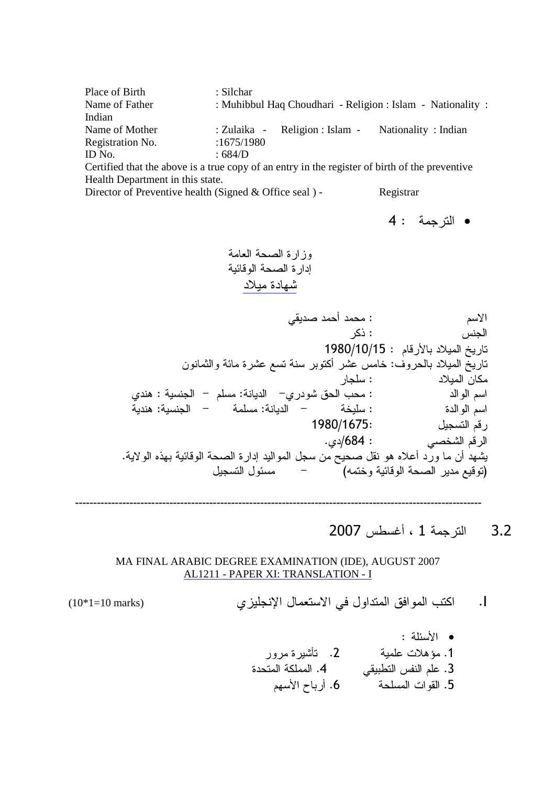| Place of Birth   | : Silchar                                                   |  |  |  |
|------------------|-------------------------------------------------------------|--|--|--|
| Name of Father   | : Muhibbul Haq Choudhari - Religion : Islam - Nationality : |  |  |  |
| Indian           |                                                             |  |  |  |
| Name of Mother   | : Zulaika - Religion : Islam - Nationality : Indian         |  |  |  |
| Registration No. | :1675/1980                                                  |  |  |  |
| ID No.           | : 684/D                                                     |  |  |  |

Certified that the above is a true copy of an entry in the register of birth of the preventive Health Department in this state.

Director of Preventive health (Signed & Office seal) - Registrar

4 : 
 •

 
 0>
 % !
 0>
 %
6 

 #> 08 0 : / جن*س* : ذکر الجنس  $\sim$ تاريخ الميلاد بالأرقام  $\sim 1980/10/15$ ناريخ المميلاد بالحروف: خامس عشر أكتوبر سنة تسع عشرة مائة والثمانون : "
 ( شودري– الديانة: مسلم – الجنسية : هندي 0
 0 : 

 / 3 : U :
 U & : %

 / 1980/1675: ,<br>رقم التسجيل .  $\mathcal{A}$ 684  $\mathcal{B}$ دى. الرقم الشخصي يشهد أن ما ورد أعلاه هو نقل صحيح من سجل المواليد إدارة الصحة الوقائية بهذه الولاية. .<br>(توقيع مدير الصحة الوقائية وختمه) مسئول التسجيل

----------------------------------------------------------------------------------------------------------------

3.2 الترجمة 1 ، أغسطس 2007

MA FINAL ARABIC DEGREE EXAMINATION (IDE), AUGUST 2007 AL1211 - PAPER XI: TRANSLATION - I

(10\*1=10 marks) %&'( )\* +   ,- .I

$$
(10*1=10 \text{ marks})
$$

• الأسئلة : 1. مؤهلات علمية 2. تأشيرة مرور %0

 .4 #\$ C4
 / ) .3 /E
 T\$8 .6 0 

#
 .5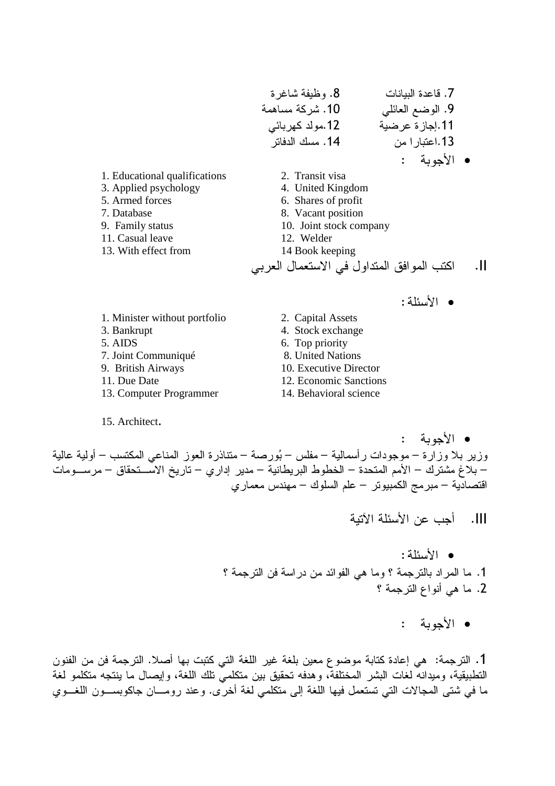• الأسئلة:

- 1. Minister without portfolio
- 3. Bankrupt
- 5. AIDS
- 7. Joint Communiqué
- 9. British Airways
- 11. Due Date
- 13. Computer Programmer
- 15. Architect.
- 2. Capital Assets
- 4. Stock exchange
- 6. Top priority
- 8. United Nations
- 10. Executive Director
- 12. Economic Sanctions
- 14. Behavioral science

• الأحوية : وزير بلا وزارة – موجودات رأسمالية – مفلس – بُورصة – متناذرة العوز المناعي المكتسب – أولية عالية – بلاغ مشترك – الأمم المتحدة – الخطوط البريطانية – مدير إداري – تاريخ الاســـتحقاق – مرســـومات اقتصادية – مبرمج الكمبيوتر – علم السلوك – مهندس معماري

.<br>|||. أجب عن الأسئلة الآتبة

- الأسئلة: 1. ما المراد بالترجمة ؟ وما هي الفوائد من دراسة فن الترجمة ؟ 2. ما هي أنواع الترجمة ؟
	- الأجوبة :

1. الترجمة: هي إعادة كتابة موضوع معين بلغة غير اللغة التي كتبت بها أصلا. الترجمة فن من الفنون النطبيقية، وميدانه لغات البشر المختلفة، وهدفه تحقيق بين متكلميّ تلك اللغة، وإيصال ما ينتجه متكلمو لغة ما في شتى المجالات التي تستعمل فيها اللغة إلى متكلمي لغة أخرى. وعند رومـــان جاكوبســـون اللغـــوي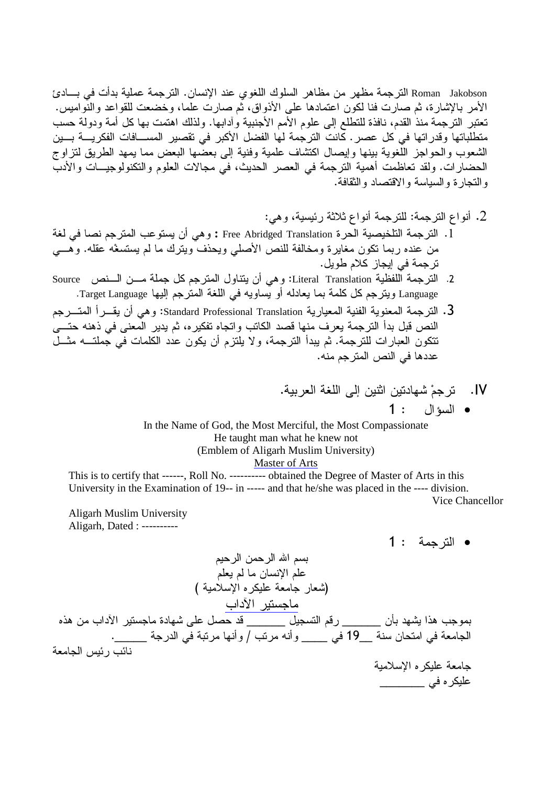Roman Jakobson الترجمة مظهر من مظاهر السلوك اللغوى عند الإنسان. الترجمة عملية بدأت في بسادئ الأمر بالإشارة، ثم صارت فنا لكون اعتمادها على الأذواق، ثم صارت علما، وخضعت للقواعد والنواميس. تعتبر الترجمة منذ القدم، نافذة للتطلع إلى علوم الأمم الأجنبية وأدابها. ولذلك اهتمت بها كل أمة ودولة حسب متطلباتها وقدراتها في كل عصر . كانت الترجمة لها الفضل الأكبر في تقصير المســـافات الفكريــــة بـــين الشعوب والحواجز اللُّغوية بينها وإيصال اكتشاف علمية وفنية إلى بعضُّها البعض مما يمهد الطريق لتزاوج الحضار ات. ولقد تعاظمت أهمية الترجمة في العصر الحديث، في مجالات العلوم والتكنولوجيـــات والأدبّ والتجار ة والسياسة والاقتصاد والثقافة.

- 2. أنواع الترجمة: للترجمة أنواع ثلاثة رئيسية، وهي:
- 1. الترجمة التلخيصية الحرة Free Abridged Translation : وهي أن يستوعب المترجم نصا في لغة من عنده ربما نكون مغايرة ومخالفة للنص الأصلي ويحذف ويترك ما لم يستسغه عقله. وهـــي تر جمة في إيجاز كلام طويل.
- 2. الترجمة اللفظية Literal Translation: وهي أن يتناول المترجم كل جملة مـــن الـــنص Source Language ويترجم كل كلمة بما يعادله أو يساويه في اللغة المترجم إليها Target Language.
- 3. الترجمة المعنوية الفنية المعيارية Standard Professional Translation: وهي أن يقـــرأ المتـــرجم النص قبل بدأ الترجمة يعرف منها قصد الكاتب واتجاه تفكيره، ثم يدير المعنى في ذهنه حتـــي تتكون العبارات للترجمة. ثم يبدأ الترجمة، ولا يلتزم أن يكون عدد الكلمات في جملتـــه مثـــل عددها في النص المترجم منه.
	- IV. ترجم شهادتين اثنين إلى اللغة العربية. **1** : السؤال : 1

In the Name of God, the Most Merciful, the Most Compassionate He taught man what he knew not (Emblem of Aligarh Muslim University) Master of Arts

This is to certify that ------, Roll No. ---------- obtained the Degree of Master of Arts in this University in the Examination of 19-- in ----- and that he/she was placed in the ---- division. Vice Chancellor

**Aligarh Muslim University** Aligarh, Dated : ----------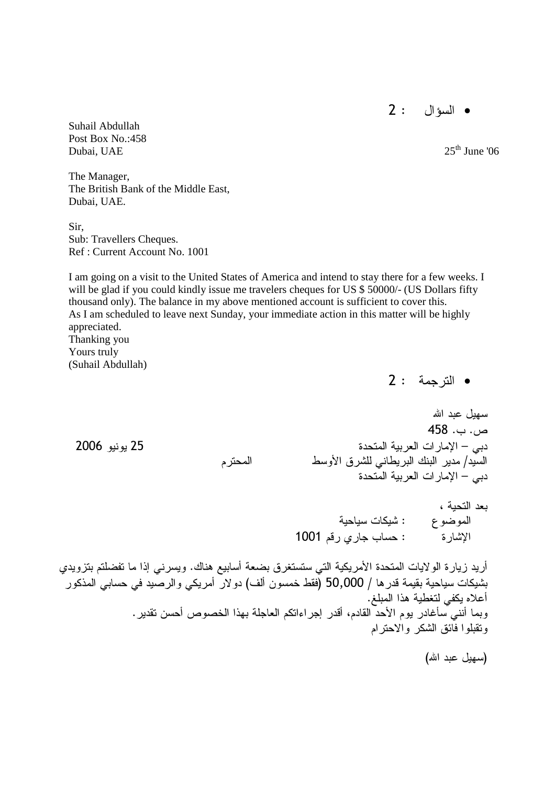2 :  •

Suhail Abdullah Post Box No.:458 Dubai, UAE  $25<sup>th</sup>$  June '06

The Manager, The British Bank of the Middle East, Dubai, UAE.

Sir, Sub: Travellers Cheques. Ref : Current Account No. 1001

I am going on a visit to the United States of America and intend to stay there for a few weeks. I will be glad if you could kindly issue me travelers cheques for US \$50000/- (US Dollars fifty thousand only). The balance in my above mentioned account is sufficient to cover this. As I am scheduled to leave next Sunday, your immediate action in this matter will be highly appreciated. Thanking you Yours truly

(Suhail Abdullah)

2 : 
 •

سهل عدد الله

 $458$  .  $-$  .  $\mu$ دبي – الإمار ات العربية المتحدة المستخدم المستخدم المستخدم من 2006 ويونيو 2006 . السيد/ مدير البنك البريطاني للشرق الأوسط المحترم دبي – الإمار ات العربية المتحدة

> بعد التحية ، الموضوع : شيكات سياحية الإشارة : حساب جاري رقم 1001

أريد زيارة الولايات المتحدة الأمريكية التي ستستغرق بضعة أسابيع هناك. ويسرني إذا ما تفضلتم بتزويدي بشيكات سياحية بقيمة قدر ها / 50,000 (فقط خمسون ألف) دو لار أمريكي والرصيد في حسابي المذكور أعلاه يكفي لتغطية هذا المبلغ. وبما أنني سأغادر يوم الأحد القادم، أقدر إجراءاتكم العاجلة بهذا الخصوص أحسن تقدير . ونقبلوا فائق الشكر والاحترام

(سهيل عبد الله)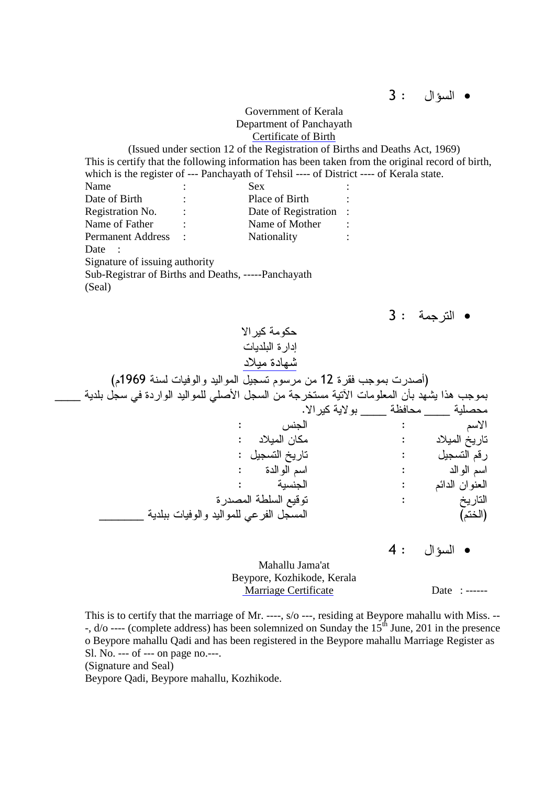3 :  •

Government of Kerala Department of Panchayath Certificate of Birth

(Issued under section 12 of the Registration of Births and Deaths Act, 1969) This is certify that the following information has been taken from the original record of birth, which is the register of --- Panchayath of Tehsil ---- of District ---- of Kerala state. Name : Sex : Date of Birth : Place of Birth : Registration No. : Date of Registration : Name of Father : Name of Mother Permanent Address : Nationality : Date : Signature of issuing authority Sub-Registrar of Births and Deaths, -----Panchayath (Seal) 3 : 
 • حكومة كبر الا ادار ة البلدبات شهادة ميلاد (أصدرت بموجب فقرة 12 من مرسوم تسجيل المواليد والوفيات لسنة 1969م) بموجب هذا يشهد بأن المعلومات الأتية مستخرجة من السجل الأصلي للمواليد الواردة في سجل بلدية \_\_\_\_

.<br>محصلية \_\_\_\_\_ محافظة \_\_\_\_\_ بولاية كير الا.<br>الاسم الجنس : الأسم : المسمى : الأسمى المسمى : : "
 ( : "
 O .<br>تاريخ التسجيل : O : /! : %

 /
 : 

 / اسم الوالدة :<br>الحنسنة : العنوان الدائم : في المستخدم المستخدم المستخدم المستخدم المستخدم المستخدم المستخدم المستخدم المستخدم المستخدم %>
 - 
 1! : O المسجل الفرعى للموآليد والوفيات ببلدية التاريخ<br>(الختم)

4 :  •

Mahallu Jama'at Beypore, Kozhikode, Kerala Marriage Certificate Date : ------

This is to certify that the marriage of Mr. ----, s/o ---, residing at Beypore mahallu with Miss. -- -,  $d$ /o ---- (complete address) has been solemnized on Sunday the  $15<sup>th</sup>$  June, 201 in the presence o Beypore mahallu Qadi and has been registered in the Beypore mahallu Marriage Register as Sl. No. --- of --- on page no.---. (Signature and Seal)

Beypore Qadi, Beypore mahallu, Kozhikode.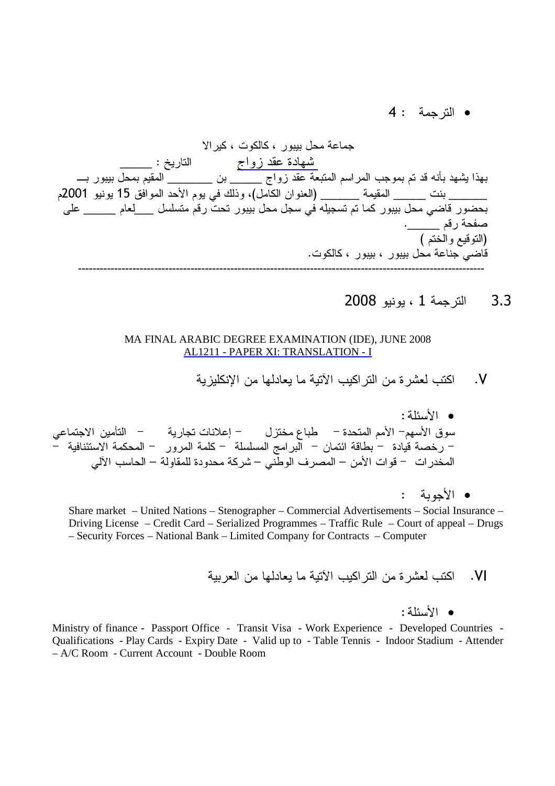4 : 
 •

جماعة محل بيبور ، كالكوت ، كيرالا \_شهادة عقد زواج الناريخ : \_\_\_\_\_\_ بهذا يشهد بأنه قد تم بموجب المراسم المتبعة عقد زواج \_\_\_\_\_ بن \_\_\_\_\_\_\_ المقيم بمحل بيبور بــــــــــــــــــــــ \_\_\_\_\_\_\_ بنت \_\_\_\_\_\_ المقيمة \_\_\_\_\_\_ (العنوان الكامل)، وذلك في يوم الأحد الموافق 15 يونيو 2001م بحضور قاضي محل بيبور كما تم تسجيله في سجل محل بيبور تحت رقم متسلسل \_\_\_\_لعام \_\_\_\_\_\_ على صفحة رقم \_\_\_\_\_\_. (التوقيع والختم ) قاضي جناعة محل بيبور ، بيبور ، كالكوت. ----------------------------------------------------------------------------------------------------------------

 $2008$  الترجمة 1 ، بونبو 2008

#### MA FINAL ARABIC DEGREE EXAMINATION (IDE), JUNE 2008 AL1211 - PAPER XI: TRANSLATION - I

&-'( 2 ) 
1 ,-  2 ) ,- .V

و الأمداني: سوق الأسهم– الأمم المتحدة – طباع مختزل – إعلانات تجارية – التأمين الاجتماعي – رخصة قيادة – بطاقة ائتمان – البر امج المسلسلة – كلمة المرور – المحكمة الاستئنافية – المخدر ات – قو ات الأمن – المصر ف الوطني – شركة محدودة للمقاولة – الحاسب الألي

• الأحوية :

Share market – United Nations – Stenographer – Commercial Advertisements – Social Insurance – Driving License – Credit Card – Serialized Programmes – Traffic Rule – Court of appeal – Drugs – Security Forces – National Bank – Limited Company for Contracts – Computer

.) 2 ) 
1 ,-  2 ) ,- .VI

## :
&0/ •

Ministry of finance - Passport Office - Transit Visa - Work Experience - Developed Countries - Qualifications - Play Cards - Expiry Date - Valid up to - Table Tennis - Indoor Stadium - Attender – A/C Room - Current Account - Double Room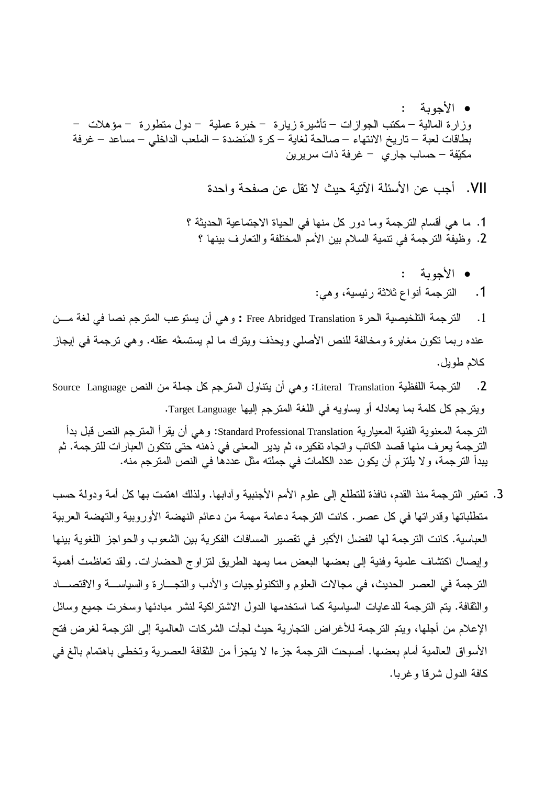• الأحوية : وزارة المالية – مكتب الجوازات – تأشيرة زيارة – خبرة عملية – دول متطورة – مؤهلات – بطاقات لعبة – تاريخ الانتهاء – صالحة لغاية – كرة المَنضدة – الملعب الداخلي – مساعد – غرفة مكيّفة – حساب جار ي – غرفة ذات سريرين

VII. أجب عن الأسئلة الآتية حبث لا تقل عن صفحة واحدة

1. ما هي أقسام الترجمة وما دور كل منها في الحياة الاجتماعية الحديثة ؟ 2. وظيفة الترجمة في تنمية السلام بين الأمم المختلفة والتعارف بينها ؟

> • الأحوية  $\bullet$ 1. الترجمة أنواع ثلاثة رئيسية، وهي:

الترجمة التلخيصية الحرة Free Abridged Translation : وهي أن يستوعب المترجم نصا في لغة مـــن  $\cdot$ .1 عنده ربما نكون مغايرة ومخالفة للنص الأصلي ويحذف ويترك ما لم يستسغه عقله. وهي ترجمة في إيجاز كلام طويل.

الترجمة اللفظية Literal Translation: وهي أن يتناول المترجم كل جملة من النص Source Language  $\cdot$ .2 ويترجم كل كلمة بما يعادله أو يساويه في اللغة المترجم إليها Target Language. الترجمة المعنوية الفنية المعيارية Standard Professional Translation: و هي أن يقر أ المترجم النص قبل بدأ الترجمة يعرف منها قصد الكاتب واتجاه تفكيره، ثم يدير المعنى في ذهنه حتى تتكون العبارات للترجمة. ثم يبدأ الترجمة، ولا يلتزم أن يكون عدد الكلمات في جملته مثل عددها في النص المترجم منه.

3. تعتبر الترجمة منذ القدم، نافذة للتطلع إلى علوم الأمم الأجنبية وأدابها. ولذلك اهتمت بها كل أمة ودولة حسب متطلباتها وقدراتها في كل عصر . كانت الترجمة دعامة مهمة من دعائم النهضة الأوروبية والتهضة العربية العباسية. كانت الترجمة لها الفضل الأكبر في تقصير المسافات الفكرية بين الشعوب والحواجز اللغوية بينها وإيصال اكتشاف علمية وفنية إلى بعضها البعض مما يمهد الطريق لتزاوج الحضارات. ولقد تعاظمت أهمية النرجمة في العصر الحديث، في مجالات العلوم والنكنولوجيات والأدب والنجـــارة والسياســـة والاقتصـــاد وِ الثقافة. يتم الترجمة للدعايات السياسية كما استخدمها الدول الاشتر اكية لنشر مبادئها وسخرت جميع وسائل الإعلام من أجلها، ويتم الترجمة للأغراض التجارية حيث لجأت الشركات العالمية إلى الترجمة لغرض فتح الأسواق العالمية أمام بعضها. أصبحت الترجمة جزءا لا يتجزأ من الثقافة العصرية وتخطى باهتمام بالغ في كافة الدول شرقا وغربا.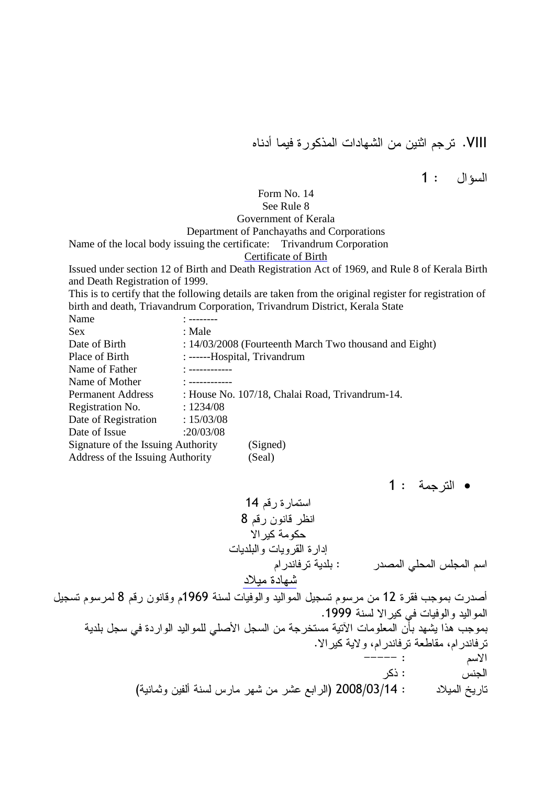VIII. ترجم اثنين من الشهادات المذكور ة فيما أدناه

السؤال : 1

# Form No. 14 See Rule 8 Government of Kerala Department of Panchayaths and Corporations

Name of the local body issuing the certificate: Trivandrum Corporation

## Certificate of Birth

Issued under section 12 of Birth and Death Registration Act of 1969, and Rule 8 of Kerala Birth and Death Registration of 1999.

This is to certify that the following details are taken from the original register for registration of birth and death, Triavandrum Corporation, Trivandrum District, Kerala State

| Name                               |                                                        |  |  |  |
|------------------------------------|--------------------------------------------------------|--|--|--|
| <b>Sex</b>                         | : Male                                                 |  |  |  |
| Date of Birth                      | : 14/03/2008 (Fourteenth March Two thousand and Eight) |  |  |  |
| Place of Birth                     | : ------Hospital, Trivandrum                           |  |  |  |
| Name of Father                     | $\frac{1}{2}$ =============                            |  |  |  |
| Name of Mother                     |                                                        |  |  |  |
| <b>Permanent Address</b>           | : House No. 107/18, Chalai Road, Trivandrum-14.        |  |  |  |
| Registration No.                   | : 1234/08                                              |  |  |  |
| Date of Registration               | : 15/03/08                                             |  |  |  |
| Date of Issue                      | :20/03/08                                              |  |  |  |
| Signature of the Issuing Authority | (Signed)                                               |  |  |  |
| Address of the Issuing Authority   | (Seal)                                                 |  |  |  |

**•** الترجمة : 1

14 /! % 8 /! (! L 
 0 \$
 #
 %
6 /
 \$ : >
 0
 C / 

أصدرت بموجب فقرة 12 من مرسوم تسجيل المواليد والوفيات لسنة 1969م وقانون رقم 8 لمرسوم تسجيل المواليد والوفيات في كير الا لسنة 1999. بموجب هذا يشهد بأن المعلومات الأتية مستخرجة من السجل الأصلي للمواليد الواردة في سجل بلدية ترفاندرام، مقاطعة ترفاندرام، ولاية كيرالا. UUUUU : / الجنس : ذكر تاريخ المميلاد 2008/03/14 (الرابع عشر من شهر مارس لسنة ألفين وثمانية)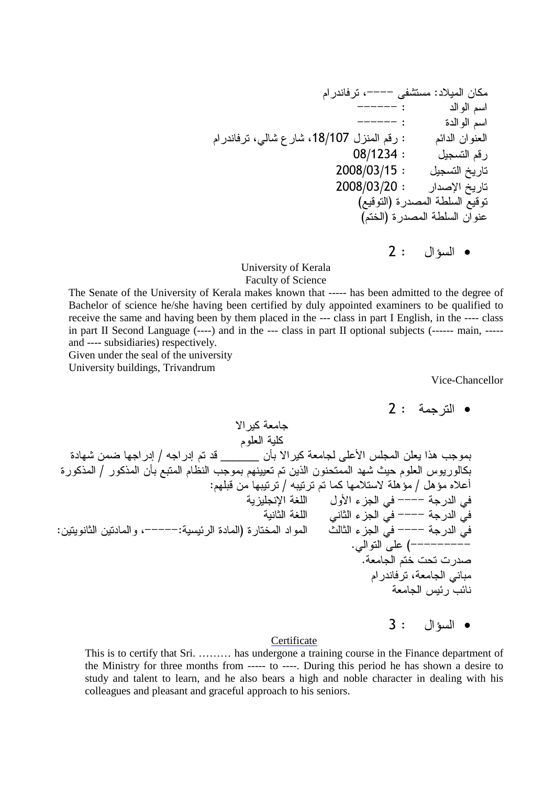/
 G UUUU 24- :"
 ( UUUUUU : 

 / UUUUUU : %

 / /
 G- 7- G18/107 
 /! : /

 ( 08/1234 : /! 2008/03/15 : O 2008/03/20 : 
>
 O ( 1!
) %>
 - 
 1! (/&
) %>
 - 
 (
) 2 :  •

University of Kerala Faculty of Science

The Senate of the University of Kerala makes known that ----- has been admitted to the degree of Bachelor of science he/she having been certified by duly appointed examiners to be qualified to receive the same and having been by them placed in the --- class in part I English, in the ---- class in part II Second Language (----) and in the --- class in part II optional subjects (------ main, ---- and ---- subsidiaries) respectively.

Given under the seal of the university

University buildings, Trivandrum

Vice-Chancellor

 / 
 %E- (5 E 6 / F 6 / ! \_\_\_\_\_\_ (,\$ 
 2 )
 C ( 
N3 \$ %N
 / N
 (,\$ 1\$
 /L
 \$ /E / (N
 (0
 E- K0 / 
 C\$ : /E \$! ( E\$ / F\$ / E" 3: / 3: <")8 
 . 

 S UUUU =
 . 
 =
 S UUUU :(=
 (
 G UUUUU:
 %
) %&

 K=
 S UUUU . 

 2 ) ( UUUUUUUUU . /& 0 > /
 G \$ C

 3 : • السؤال

## **Certificate**

This is to certify that Sri. ……… has undergone a training course in the Finance department of the Ministry for three months from ----- to ----. During this period he has shown a desire to study and talent to learn, and he also bears a high and noble character in dealing with his colleagues and pleasant and graceful approach to his seniors.

<sup>2</sup> : 
 •